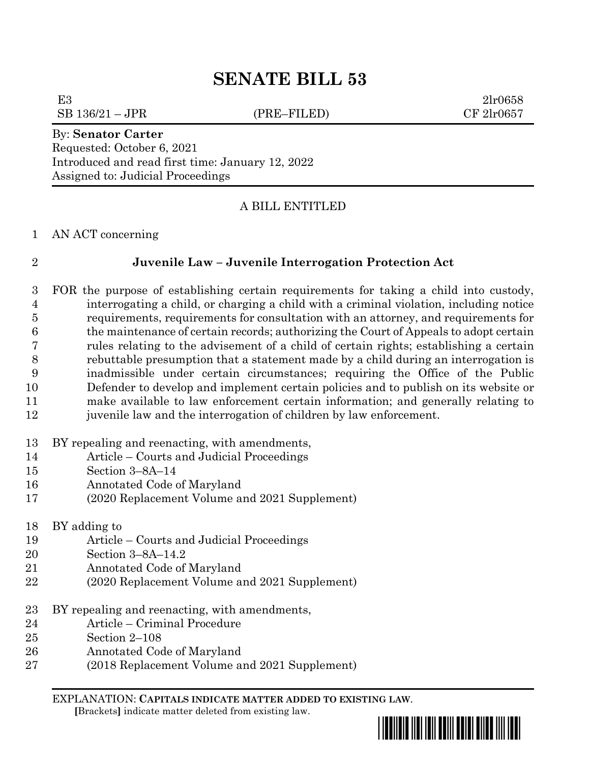# **SENATE BILL 53**

E3 2lr0658

 $SB\ 136/21 - JPR$  (PRE–FILED) CF  $2\text{lr}0657$ 

#### By: **Senator Carter**

Requested: October 6, 2021 Introduced and read first time: January 12, 2022 Assigned to: Judicial Proceedings

## A BILL ENTITLED

### AN ACT concerning

## **Juvenile Law – Juvenile Interrogation Protection Act**

 FOR the purpose of establishing certain requirements for taking a child into custody, interrogating a child, or charging a child with a criminal violation, including notice requirements, requirements for consultation with an attorney, and requirements for the maintenance of certain records; authorizing the Court of Appeals to adopt certain rules relating to the advisement of a child of certain rights; establishing a certain rebuttable presumption that a statement made by a child during an interrogation is inadmissible under certain circumstances; requiring the Office of the Public Defender to develop and implement certain policies and to publish on its website or make available to law enforcement certain information; and generally relating to juvenile law and the interrogation of children by law enforcement.

- BY repealing and reenacting, with amendments,
- Article Courts and Judicial Proceedings
- Section 3–8A–14
- Annotated Code of Maryland
- (2020 Replacement Volume and 2021 Supplement)
- BY adding to
- Article Courts and Judicial Proceedings
- Section 3–8A–14.2
- Annotated Code of Maryland
- (2020 Replacement Volume and 2021 Supplement)
- BY repealing and reenacting, with amendments,
- Article Criminal Procedure
- Section 2–108
- Annotated Code of Maryland
- (2018 Replacement Volume and 2021 Supplement)

EXPLANATION: **CAPITALS INDICATE MATTER ADDED TO EXISTING LAW**.  **[**Brackets**]** indicate matter deleted from existing law.

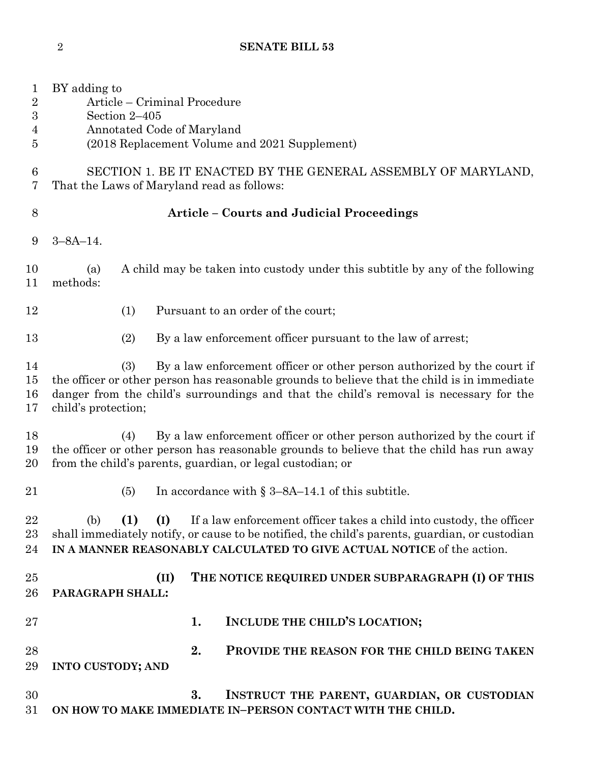| $\mathbf{1}$<br>$\overline{2}$<br>$\boldsymbol{3}$<br>$\overline{4}$<br>5 | BY adding to<br>Article – Criminal Procedure<br>Section 2-405<br>Annotated Code of Maryland<br>(2018 Replacement Volume and 2021 Supplement)                                                                                                                                                    |
|---------------------------------------------------------------------------|-------------------------------------------------------------------------------------------------------------------------------------------------------------------------------------------------------------------------------------------------------------------------------------------------|
| 6<br>7                                                                    | SECTION 1. BE IT ENACTED BY THE GENERAL ASSEMBLY OF MARYLAND,<br>That the Laws of Maryland read as follows:                                                                                                                                                                                     |
| 8                                                                         | <b>Article - Courts and Judicial Proceedings</b>                                                                                                                                                                                                                                                |
| 9                                                                         | $3 - 8A - 14$ .                                                                                                                                                                                                                                                                                 |
| 10<br>11                                                                  | A child may be taken into custody under this subtitle by any of the following<br>(a)<br>methods:                                                                                                                                                                                                |
| 12                                                                        | Pursuant to an order of the court;<br>(1)                                                                                                                                                                                                                                                       |
| 13                                                                        | By a law enforcement officer pursuant to the law of arrest;<br>(2)                                                                                                                                                                                                                              |
| 14<br>15<br>16<br>17                                                      | By a law enforcement officer or other person authorized by the court if<br>(3)<br>the officer or other person has reasonable grounds to believe that the child is in immediate<br>danger from the child's surroundings and that the child's removal is necessary for the<br>child's protection; |
| 18<br>19<br>$20\,$                                                        | By a law enforcement officer or other person authorized by the court if<br>(4)<br>the officer or other person has reasonable grounds to believe that the child has run away<br>from the child's parents, guardian, or legal custodian; or                                                       |
| 21                                                                        | In accordance with $\S 3-8A-14.1$ of this subtitle.<br>(5)                                                                                                                                                                                                                                      |
| 22<br>23<br>24                                                            | (I)<br>If a law enforcement officer takes a child into custody, the officer<br>(b)<br>(1)<br>shall immediately notify, or cause to be notified, the child's parents, guardian, or custodian<br>IN A MANNER REASONABLY CALCULATED TO GIVE ACTUAL NOTICE of the action.                           |
| 25<br>26                                                                  | THE NOTICE REQUIRED UNDER SUBPARAGRAPH (I) OF THIS<br>(II)<br>PARAGRAPH SHALL:                                                                                                                                                                                                                  |
| $27\,$                                                                    | INCLUDE THE CHILD'S LOCATION;<br>1.                                                                                                                                                                                                                                                             |
| 28<br>29                                                                  | 2.<br>PROVIDE THE REASON FOR THE CHILD BEING TAKEN<br><b>INTO CUSTODY; AND</b>                                                                                                                                                                                                                  |
| 30<br>31                                                                  | 3.<br>INSTRUCT THE PARENT, GUARDIAN, OR CUSTODIAN<br>ON HOW TO MAKE IMMEDIATE IN-PERSON CONTACT WITH THE CHILD.                                                                                                                                                                                 |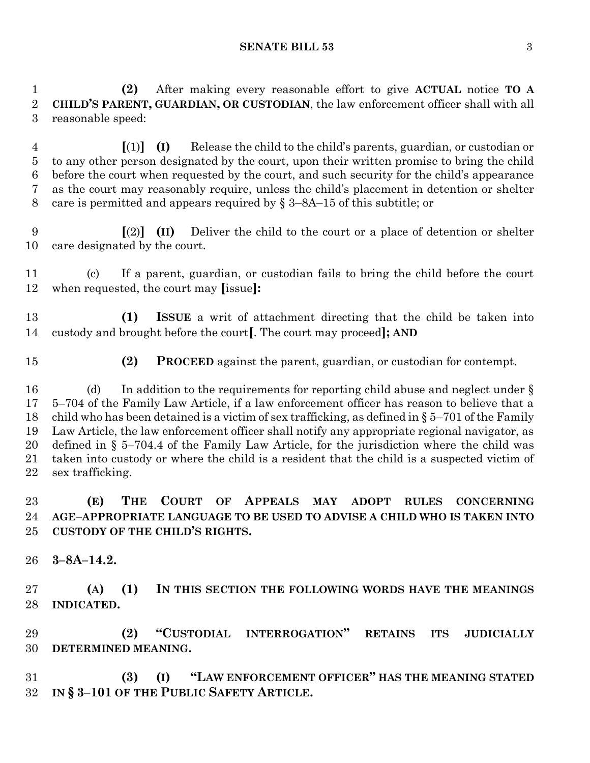#### **SENATE BILL 53** 3

 **(2)** After making every reasonable effort to give **ACTUAL** notice **TO A CHILD'S PARENT, GUARDIAN, OR CUSTODIAN**, the law enforcement officer shall with all reasonable speed:

 **[**(1)**] (I)** Release the child to the child's parents, guardian, or custodian or to any other person designated by the court, upon their written promise to bring the child before the court when requested by the court, and such security for the child's appearance as the court may reasonably require, unless the child's placement in detention or shelter 8 care is permitted and appears required by  $\S$  3–8A–15 of this subtitle; or

 **[**(2)**] (II)** Deliver the child to the court or a place of detention or shelter care designated by the court.

 (c) If a parent, guardian, or custodian fails to bring the child before the court when requested, the court may **[**issue**]:**

 **(1) ISSUE** a writ of attachment directing that the child be taken into custody and brought before the court**[**. The court may proceed**]; AND**

**(2) PROCEED** against the parent, guardian, or custodian for contempt.

16 (d) In addition to the requirements for reporting child abuse and neglect under § 5–704 of the Family Law Article, if a law enforcement officer has reason to believe that a 18 child who has been detained is a victim of sex trafficking, as defined in  $\S 5-701$  of the Family Law Article, the law enforcement officer shall notify any appropriate regional navigator, as defined in § 5–704.4 of the Family Law Article, for the jurisdiction where the child was taken into custody or where the child is a resident that the child is a suspected victim of sex trafficking.

## **(E) THE COURT OF APPEALS MAY ADOPT RULES CONCERNING AGE–APPROPRIATE LANGUAGE TO BE USED TO ADVISE A CHILD WHO IS TAKEN INTO CUSTODY OF THE CHILD'S RIGHTS.**

**3–8A–14.2.**

 **(A) (1) IN THIS SECTION THE FOLLOWING WORDS HAVE THE MEANINGS INDICATED.**

 **(2) "CUSTODIAL INTERROGATION" RETAINS ITS JUDICIALLY DETERMINED MEANING.**

 **(3) (I) "LAW ENFORCEMENT OFFICER" HAS THE MEANING STATED IN § 3–101 OF THE PUBLIC SAFETY ARTICLE.**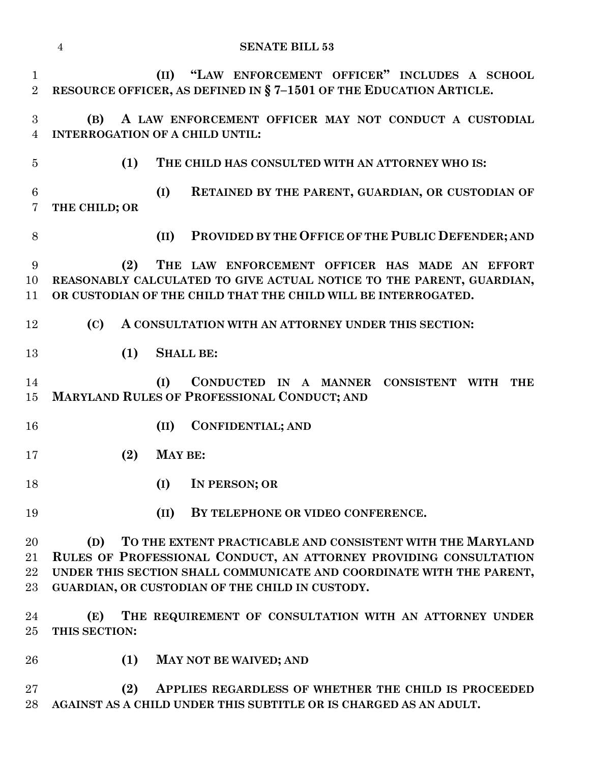|                                | <b>SENATE BILL 53</b><br>$\overline{4}$                                                                                                                                                                                                                           |
|--------------------------------|-------------------------------------------------------------------------------------------------------------------------------------------------------------------------------------------------------------------------------------------------------------------|
| $\mathbf{1}$<br>$\overline{2}$ | (II) "LAW ENFORCEMENT OFFICER" INCLUDES A SCHOOL<br>RESOURCE OFFICER, AS DEFINED IN §7-1501 OF THE EDUCATION ARTICLE.                                                                                                                                             |
| 3<br>$\overline{4}$            | A LAW ENFORCEMENT OFFICER MAY NOT CONDUCT A CUSTODIAL<br>(B)<br><b>INTERROGATION OF A CHILD UNTIL:</b>                                                                                                                                                            |
| $\overline{5}$                 | (1)<br>THE CHILD HAS CONSULTED WITH AN ATTORNEY WHO IS:                                                                                                                                                                                                           |
| $6\phantom{.}6$<br>7           | (I)<br>RETAINED BY THE PARENT, GUARDIAN, OR CUSTODIAN OF<br>THE CHILD; OR                                                                                                                                                                                         |
| 8                              | PROVIDED BY THE OFFICE OF THE PUBLIC DEFENDER; AND<br>(II)                                                                                                                                                                                                        |
| 9<br>10<br>11                  | (2)<br>THE LAW ENFORCEMENT OFFICER HAS MADE AN EFFORT<br>REASONABLY CALCULATED TO GIVE ACTUAL NOTICE TO THE PARENT, GUARDIAN,<br>OR CUSTODIAN OF THE CHILD THAT THE CHILD WILL BE INTERROGATED.                                                                   |
| 12                             | (C)<br>A CONSULTATION WITH AN ATTORNEY UNDER THIS SECTION:                                                                                                                                                                                                        |
| 13                             | <b>SHALL BE:</b><br>(1)                                                                                                                                                                                                                                           |
| 14<br>15                       | (I)<br>CONDUCTED IN A MANNER CONSISTENT WITH<br><b>THE</b><br>MARYLAND RULES OF PROFESSIONAL CONDUCT; AND                                                                                                                                                         |
| 16                             | <b>CONFIDENTIAL; AND</b><br>(II)                                                                                                                                                                                                                                  |
| 17                             | MAY BE:<br>(2)                                                                                                                                                                                                                                                    |
| 18                             | (I)<br>IN PERSON; OR                                                                                                                                                                                                                                              |
| 19                             | (II)<br>BY TELEPHONE OR VIDEO CONFERENCE.                                                                                                                                                                                                                         |
| $20\,$<br>21<br>22<br>23       | TO THE EXTENT PRACTICABLE AND CONSISTENT WITH THE MARYLAND<br>(D)<br>RULES OF PROFESSIONAL CONDUCT, AN ATTORNEY PROVIDING CONSULTATION<br>UNDER THIS SECTION SHALL COMMUNICATE AND COORDINATE WITH THE PARENT,<br>GUARDIAN, OR CUSTODIAN OF THE CHILD IN CUSTODY. |
| 24<br>$25\,$                   | THE REQUIREMENT OF CONSULTATION WITH AN ATTORNEY UNDER<br>(E)<br>THIS SECTION:                                                                                                                                                                                    |
| 26                             | (1)<br>MAY NOT BE WAIVED; AND                                                                                                                                                                                                                                     |
| $27\,$<br>28                   | (2)<br>APPLIES REGARDLESS OF WHETHER THE CHILD IS PROCEEDED<br>AGAINST AS A CHILD UNDER THIS SUBTITLE OR IS CHARGED AS AN ADULT.                                                                                                                                  |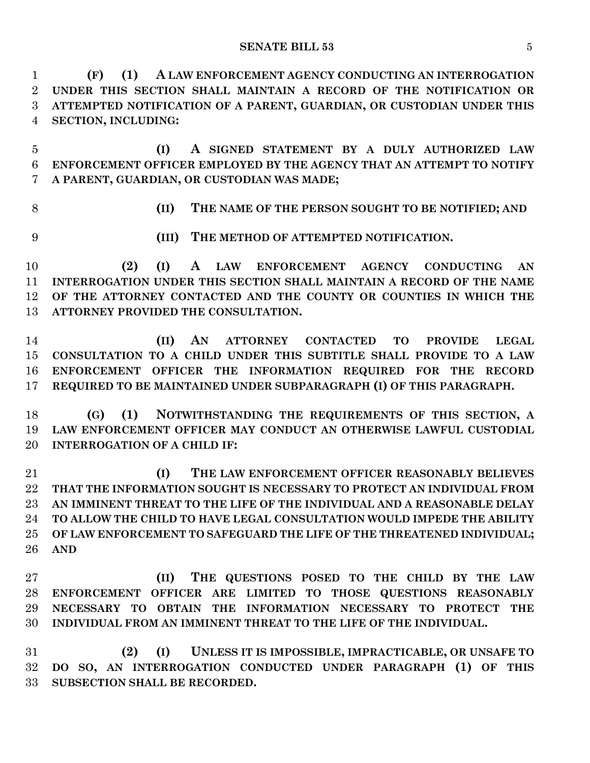**SENATE BILL 53** 5

 **(F) (1) A LAW ENFORCEMENT AGENCY CONDUCTING AN INTERROGATION UNDER THIS SECTION SHALL MAINTAIN A RECORD OF THE NOTIFICATION OR ATTEMPTED NOTIFICATION OF A PARENT, GUARDIAN, OR CUSTODIAN UNDER THIS SECTION, INCLUDING:**

 **(I) A SIGNED STATEMENT BY A DULY AUTHORIZED LAW ENFORCEMENT OFFICER EMPLOYED BY THE AGENCY THAT AN ATTEMPT TO NOTIFY A PARENT, GUARDIAN, OR CUSTODIAN WAS MADE;**

**(II) THE NAME OF THE PERSON SOUGHT TO BE NOTIFIED; AND**

**(III) THE METHOD OF ATTEMPTED NOTIFICATION.**

 **(2) (I) A LAW ENFORCEMENT AGENCY CONDUCTING AN INTERROGATION UNDER THIS SECTION SHALL MAINTAIN A RECORD OF THE NAME OF THE ATTORNEY CONTACTED AND THE COUNTY OR COUNTIES IN WHICH THE ATTORNEY PROVIDED THE CONSULTATION.**

 **(II) AN ATTORNEY CONTACTED TO PROVIDE LEGAL CONSULTATION TO A CHILD UNDER THIS SUBTITLE SHALL PROVIDE TO A LAW ENFORCEMENT OFFICER THE INFORMATION REQUIRED FOR THE RECORD REQUIRED TO BE MAINTAINED UNDER SUBPARAGRAPH (I) OF THIS PARAGRAPH.**

 **(G) (1) NOTWITHSTANDING THE REQUIREMENTS OF THIS SECTION, A LAW ENFORCEMENT OFFICER MAY CONDUCT AN OTHERWISE LAWFUL CUSTODIAL INTERROGATION OF A CHILD IF:**

 **(I) THE LAW ENFORCEMENT OFFICER REASONABLY BELIEVES THAT THE INFORMATION SOUGHT IS NECESSARY TO PROTECT AN INDIVIDUAL FROM AN IMMINENT THREAT TO THE LIFE OF THE INDIVIDUAL AND A REASONABLE DELAY TO ALLOW THE CHILD TO HAVE LEGAL CONSULTATION WOULD IMPEDE THE ABILITY OF LAW ENFORCEMENT TO SAFEGUARD THE LIFE OF THE THREATENED INDIVIDUAL; AND**

 **(II) THE QUESTIONS POSED TO THE CHILD BY THE LAW ENFORCEMENT OFFICER ARE LIMITED TO THOSE QUESTIONS REASONABLY NECESSARY TO OBTAIN THE INFORMATION NECESSARY TO PROTECT THE INDIVIDUAL FROM AN IMMINENT THREAT TO THE LIFE OF THE INDIVIDUAL.**

 **(2) (I) UNLESS IT IS IMPOSSIBLE, IMPRACTICABLE, OR UNSAFE TO DO SO, AN INTERROGATION CONDUCTED UNDER PARAGRAPH (1) OF THIS SUBSECTION SHALL BE RECORDED.**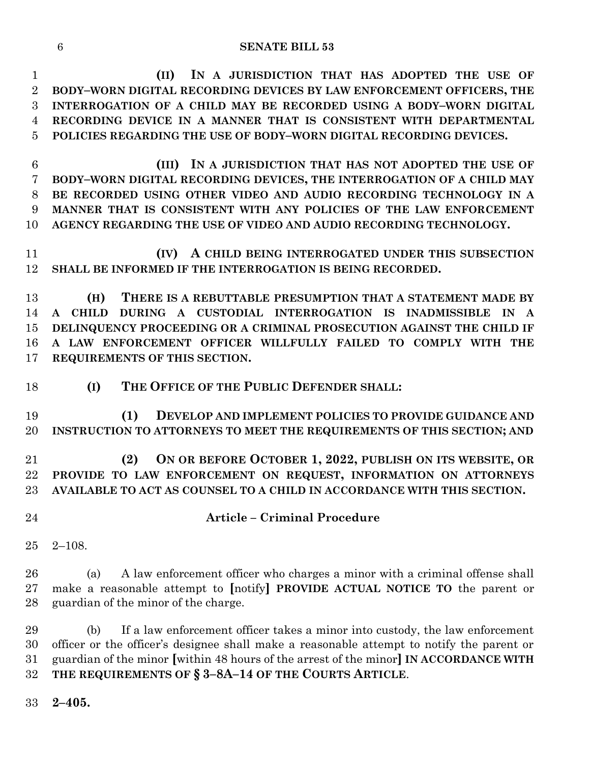#### **SENATE BILL 53**

 **(II) IN A JURISDICTION THAT HAS ADOPTED THE USE OF BODY–WORN DIGITAL RECORDING DEVICES BY LAW ENFORCEMENT OFFICERS, THE INTERROGATION OF A CHILD MAY BE RECORDED USING A BODY–WORN DIGITAL RECORDING DEVICE IN A MANNER THAT IS CONSISTENT WITH DEPARTMENTAL POLICIES REGARDING THE USE OF BODY–WORN DIGITAL RECORDING DEVICES.**

 **(III) IN A JURISDICTION THAT HAS NOT ADOPTED THE USE OF BODY–WORN DIGITAL RECORDING DEVICES, THE INTERROGATION OF A CHILD MAY BE RECORDED USING OTHER VIDEO AND AUDIO RECORDING TECHNOLOGY IN A MANNER THAT IS CONSISTENT WITH ANY POLICIES OF THE LAW ENFORCEMENT AGENCY REGARDING THE USE OF VIDEO AND AUDIO RECORDING TECHNOLOGY.**

 **(IV) A CHILD BEING INTERROGATED UNDER THIS SUBSECTION SHALL BE INFORMED IF THE INTERROGATION IS BEING RECORDED.**

 **(H) THERE IS A REBUTTABLE PRESUMPTION THAT A STATEMENT MADE BY A CHILD DURING A CUSTODIAL INTERROGATION IS INADMISSIBLE IN A DELINQUENCY PROCEEDING OR A CRIMINAL PROSECUTION AGAINST THE CHILD IF A LAW ENFORCEMENT OFFICER WILLFULLY FAILED TO COMPLY WITH THE REQUIREMENTS OF THIS SECTION.**

**(I) THE OFFICE OF THE PUBLIC DEFENDER SHALL:**

 **(1) DEVELOP AND IMPLEMENT POLICIES TO PROVIDE GUIDANCE AND INSTRUCTION TO ATTORNEYS TO MEET THE REQUIREMENTS OF THIS SECTION; AND**

 **(2) ON OR BEFORE OCTOBER 1, 2022, PUBLISH ON ITS WEBSITE, OR PROVIDE TO LAW ENFORCEMENT ON REQUEST, INFORMATION ON ATTORNEYS AVAILABLE TO ACT AS COUNSEL TO A CHILD IN ACCORDANCE WITH THIS SECTION.**

- 
- **Article – Criminal Procedure**
- 2–108.

 (a) A law enforcement officer who charges a minor with a criminal offense shall make a reasonable attempt to **[**notify**] PROVIDE ACTUAL NOTICE TO** the parent or guardian of the minor of the charge.

 (b) If a law enforcement officer takes a minor into custody, the law enforcement officer or the officer's designee shall make a reasonable attempt to notify the parent or guardian of the minor **[**within 48 hours of the arrest of the minor**] IN ACCORDANCE WITH THE REQUIREMENTS OF § 3–8A–14 OF THE COURTS ARTICLE**.

**2–405.**